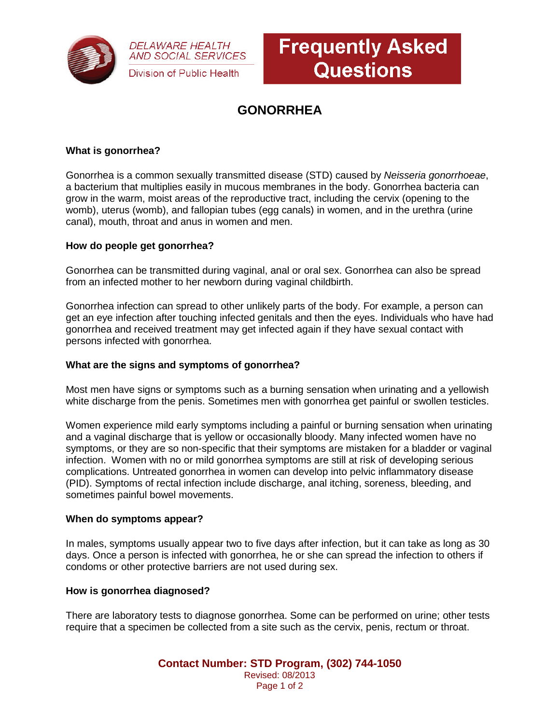

**DELAWARE HEALTH AND SOCIAL SERVICES** Division of Public Health



# **GONORRHEA**

# **What is gonorrhea?**

Gonorrhea is a common sexually transmitted disease (STD) caused by *Neisseria gonorrhoeae*, a bacterium that multiplies easily in mucous membranes in the body. Gonorrhea bacteria can grow in the warm, moist areas of the reproductive tract, including the cervix (opening to the womb), uterus (womb), and fallopian tubes (egg canals) in women, and in the urethra (urine canal), mouth, throat and anus in women and men.

#### **How do people get gonorrhea?**

Gonorrhea can be transmitted during vaginal, anal or oral sex. Gonorrhea can also be spread from an infected mother to her newborn during vaginal childbirth.

Gonorrhea infection can spread to other unlikely parts of the body. For example, a person can get an eye infection after touching infected genitals and then the eyes. Individuals who have had gonorrhea and received treatment may get infected again if they have sexual contact with persons infected with gonorrhea.

### **What are the signs and symptoms of gonorrhea?**

Most men have signs or symptoms such as a burning sensation when urinating and a yellowish white discharge from the penis. Sometimes men with gonorrhea get painful or swollen testicles.

Women experience mild early symptoms including a painful or burning sensation when urinating and a vaginal discharge that is yellow or occasionally bloody. Many infected women have no symptoms, or they are so non-specific that their symptoms are mistaken for a bladder or vaginal infection. Women with no or mild gonorrhea symptoms are still at risk of developing serious complications. Untreated gonorrhea in women can develop into pelvic inflammatory disease (PID). Symptoms of rectal infection include discharge, anal itching, soreness, bleeding, and sometimes painful bowel movements.

#### **When do symptoms appear?**

In males, symptoms usually appear two to five days after infection, but it can take as long as 30 days. Once a person is infected with gonorrhea, he or she can spread the infection to others if condoms or other protective barriers are not used during sex.

### **How is gonorrhea diagnosed?**

There are laboratory tests to diagnose gonorrhea. Some can be performed on urine; other tests require that a specimen be collected from a site such as the cervix, penis, rectum or throat.